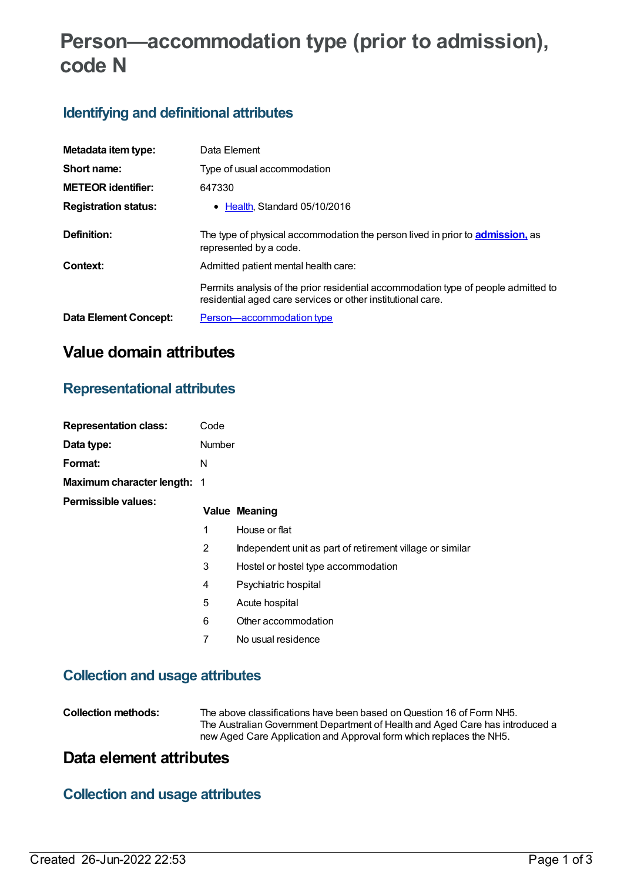# **Person—accommodation type (prior to admission), code N**

### **Identifying and definitional attributes**

| Metadata item type:         | Data Element                                                                                                                                      |
|-----------------------------|---------------------------------------------------------------------------------------------------------------------------------------------------|
| Short name:                 | Type of usual accommodation                                                                                                                       |
| <b>METEOR identifier:</b>   | 647330                                                                                                                                            |
| <b>Registration status:</b> | • Health Standard 05/10/2016                                                                                                                      |
| Definition:                 | The type of physical accommodation the person lived in prior to <b>admission</b> , as<br>represented by a code.                                   |
| Context:                    | Admitted patient mental health care:                                                                                                              |
|                             | Permits analysis of the prior residential accommodation type of people admitted to<br>residential aged care services or other institutional care. |
| Data Element Concept:       | Person-accommodation type                                                                                                                         |

### **Value domain attributes**

### **Representational attributes**

| <b>Representation class:</b> | Code          |                                                           |
|------------------------------|---------------|-----------------------------------------------------------|
| Data type:                   | <b>Number</b> |                                                           |
| Format:                      | N             |                                                           |
| Maximum character length: 1  |               |                                                           |
| Permissible values:          |               | <b>Value Meaning</b>                                      |
|                              | $\mathbf 1$   | House or flat                                             |
|                              | 2             | Independent unit as part of retirement village or similar |
|                              | 3             | Hostel or hostel type accommodation                       |
|                              | 4             | Psychiatric hospital                                      |
|                              | 5             | Acute hospital                                            |
|                              | 6             | Other accommodation                                       |
|                              | 7             | No usual residence                                        |
|                              |               |                                                           |

### **Collection and usage attributes**

| Collection methods: | The above classifications have been based on Question 16 of Form NH5.<br>The Australian Government Department of Health and Aged Care has introduced a<br>new Aged Care Application and Approval form which replaces the NH5. |
|---------------------|-------------------------------------------------------------------------------------------------------------------------------------------------------------------------------------------------------------------------------|
|                     |                                                                                                                                                                                                                               |

### **Data element attributes**

## **Collection and usage attributes**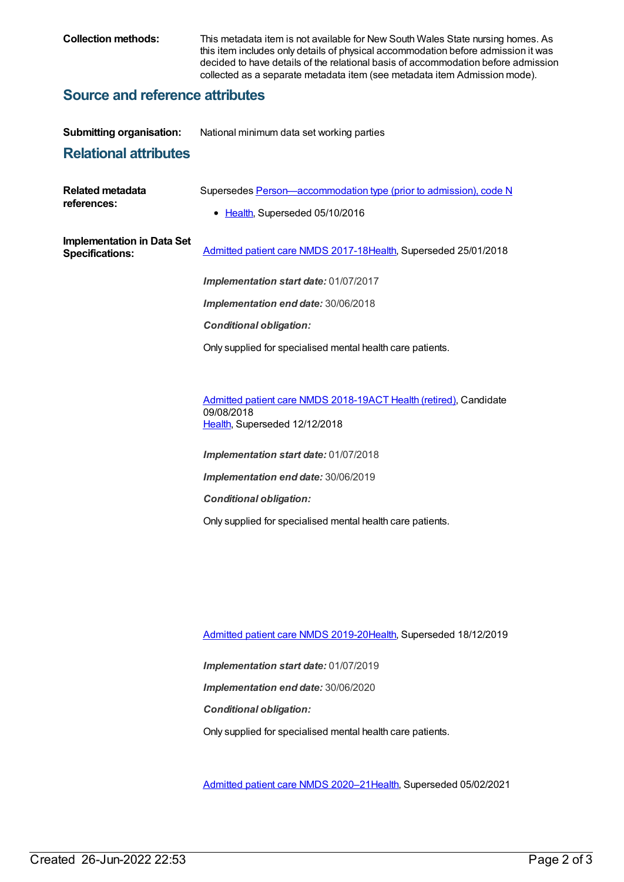**Collection methods:** This metadata item is not available for New South Wales State nursing homes. As this item includes only details of physical accommodation before admission it was decided to have details of the relational basis of accommodation before admission collected as a separate metadata item (see metadata item Admission mode).

#### **Source and reference attributes**

| <b>Submitting organisation:</b>                             | National minimum data set working parties                                                            |
|-------------------------------------------------------------|------------------------------------------------------------------------------------------------------|
| <b>Relational attributes</b>                                |                                                                                                      |
| <b>Related metadata</b><br>references:                      | Supersedes Person-accommodation type (prior to admission), code N<br>• Health, Superseded 05/10/2016 |
| <b>Implementation in Data Set</b><br><b>Specifications:</b> | Admitted patient care NMDS 2017-18Health, Superseded 25/01/2018                                      |
|                                                             | Implementation start date: 01/07/2017                                                                |
|                                                             | Implementation end date: 30/06/2018                                                                  |
|                                                             | <b>Conditional obligation:</b>                                                                       |
|                                                             | Only supplied for specialised mental health care patients.                                           |
|                                                             |                                                                                                      |
|                                                             | Admitted patient care NMDS 2018-19ACT Health (retired), Candidate<br>09/08/2018                      |

[Health](https://meteor.aihw.gov.au/RegistrationAuthority/12), Superseded 12/12/2018

*Implementation start date:* 01/07/2018 *Implementation end date:* 30/06/2019 *Conditional obligation:* Only supplied for specialised mental health care patients.

[Admitted](https://meteor.aihw.gov.au/content/699728) patient care NMDS 2019-20[Health](https://meteor.aihw.gov.au/RegistrationAuthority/12), Superseded 18/12/2019

*Implementation start date:* 01/07/2019

*Implementation end date:* 30/06/2020

*Conditional obligation:*

Only supplied for specialised mental health care patients.

[Admitted](https://meteor.aihw.gov.au/content/713850) patient care NMDS 2020–2[1Health](https://meteor.aihw.gov.au/RegistrationAuthority/12), Superseded 05/02/2021